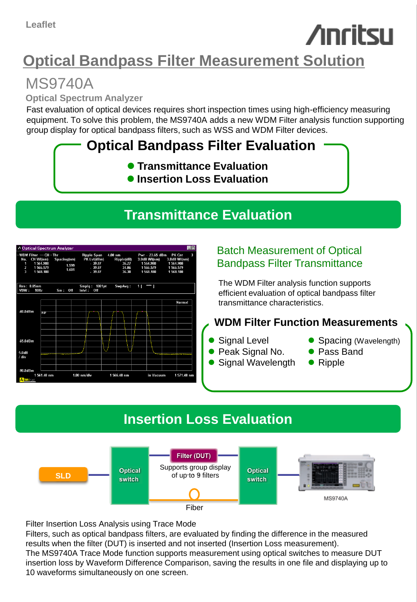# **Anritsu**

# **Optical Bandpass Filter Measurement Solution**

# MS9740A

**Optical Spectrum Analyzer**

Fast evaluation of optical devices requires short inspection times using high-efficiency measuring equipment. To solve this problem, the MS9740A adds a new WDM Filter analysis function supporting group display for optical bandpass filters, such as WSS and WDM Filter devices.

## **Optical Bandpass Filter Evaluation**

- **Transmittance Evaluation**
- **Insertion Loss Evaluation**

### **Transmittance Evaluation**



#### Batch Measurement of Optical Bandpass Filter Transmittance

The WDM Filter analysis function supports efficient evaluation of optical bandpass filter transmittance characteristics.

#### **WDM Filter Function Measurements**

- Signal Level
- Peak Signal No.
- Signal Wavelength
- Spacing (Wavelength)
- Pass Band
- Ripple

## **Insertion Loss Evaluation**



Filter Insertion Loss Analysis using Trace Mode

Filters, such as optical bandpass filters, are evaluated by finding the difference in the measured results when the filter (DUT) is inserted and not inserted (Insertion Loss measurement). The MS9740A Trace Mode function supports measurement using optical switches to measure DUT insertion loss by Waveform Difference Comparison, saving the results in one file and displaying up to 10 waveforms simultaneously on one screen.